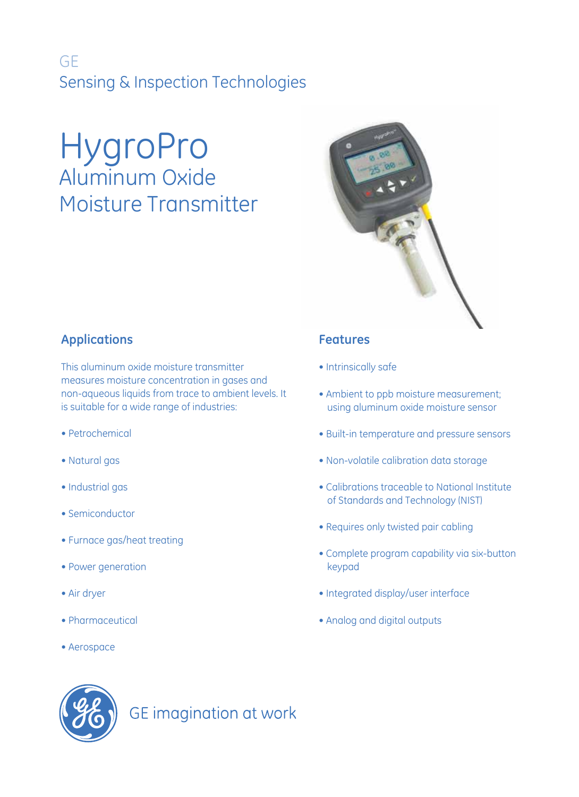## GE Sensing & Inspection Technologies

# HygroPro Aluminum Oxide Moisture Transmitter



## **Applications**

This aluminum oxide moisture transmitter measures moisture concentration in gases and non-aqueous liquids from trace to ambient levels. It is suitable for a wide range of industries:

- Petrochemical
- Natural gas
- Industrial gas
- Semiconductor
- Furnace gas/heat treating
- Power generation
- Air dryer
- Pharmaceutical
- Aerospace

## **Features**

- Intrinsically safe
- Ambient to ppb moisture measurement; using aluminum oxide moisture sensor
- Built-in temperature and pressure sensors
- Non-volatile calibration data storage
- Calibrations traceable to National Institute of Standards and Technology (NIST)
- Requires only twisted pair cabling
- Complete program capability via six-button keypad
- Integrated display/user interface
- Analog and digital outputs



**GE** imagination at work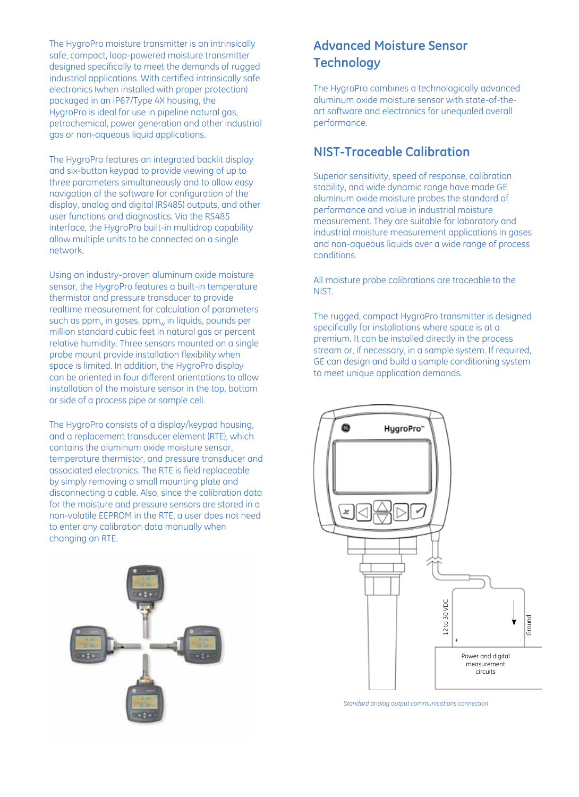The HygroPro moisture transmitter is an intrinsically safe, compact, loop-powered moisture transmitter designed specifically to meet the demands of rugged industrial applications. With certified intrinsically safe electronics (when installed with proper protection) packaged in an IP67/Type 4X housing, the HygroPro is ideal for use in pipeline natural gas, petrochemical, power generation and other industrial gas or non-aqueous liquid applications.

The HygroPro features an integrated backlit display and six-button keypad to provide viewing of up to three parameters simultaneously and to allow easy navigation of the software for configuration of the display, analog and digital (RS485) outputs, and other user functions and diagnostics. Via the RS485 interface, the HygroPro built-in multidrop capability allow multiple units to be connected on a single network.

Using an industry-proven aluminum oxide moisture sensor, the HygroPro features a built-in temperature thermistor and pressure transducer to provide realtime measurement for calculation of parameters such as ppm<sub>v</sub> in gases, ppm<sub>w</sub> in liquids, pounds per million standard cubic feet in natural gas or percent relative humidity. Three sensors mounted on a single probe mount provide installation flexibility when space is limited. In addition, the HygroPro display can be oriented in four different orientations to allow installation of the moisture sensor in the top, bottom or side of a process pipe or sample cell.

The HygroPro consists of a display/keypad housing, and a replacement transducer element (RTE), which contains the aluminum oxide moisture sensor, temperature thermistor, and pressure transducer and associated electronics. The RTE is field replaceable by simply removing a small mounting plate and disconnecting a cable. Also, since the calibration data for the moisture and pressure sensors are stored in a non-volatile EEPROM in the RTE, a user does not need to enter any calibration data manually when changing an RTE.



## **Advanced Moisture Sensor Technology**

The HygroPro combines a technologically advanced aluminum oxide moisture sensor with state-of-theart software and electronics for unequaled overall performance.

## **NIST-Traceable Calibration**

Superior sensitivity, speed of response, calibration stability, and wide dynamic range have made GE aluminum oxide moisture probes the standard of performance and value in industrial moisture measurement. They are suitable for laboratory and industrial moisture measurement applications in gases and non-aqueous liquids over a wide range of process conditions.

All moisture probe calibrations are traceable to the **NIST.** 

The rugged, compact HygroPro transmitter is designed specifically for installations where space is at a premium. It can be installed directly in the process stream or, if necessary, in a sample system. If required, GE can design and build a sample conditioning system to meet unique application demands.

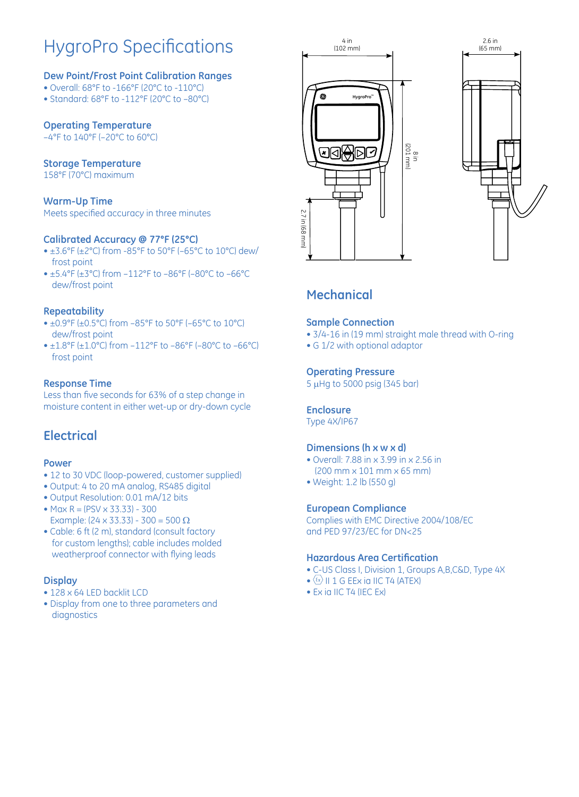## HygroPro Specifications

#### **Dew Point/Frost Point Calibration Ranges**

- Overall: 68°F to -166°F (20°C to -110°C)
- Standard: 68°F to -112°F (20°C to –80°C)

#### **Operating Temperature**

–4°F to 140°F (–20°C to 60°C)

#### **Storage Temperature**

158°F (70°C) maximum

#### **Warm-Up Time**

Meets specified accuracy in three minutes

#### **Calibrated Accuracy @ 77°F (25°C)**

- ±3.6°F (±2°C) from -85°F to 50°F (–65°C to 10°C) dew/ frost point
- ±5.4°F (±3°C) from –112°F to –86°F (–80°C to –66°C dew/frost point

#### **Repeatability**

- ±0.9°F (±0.5°C) from –85°F to 50°F (–65°C to 10°C) dew/frost point
- $\pm 1.8$ °F ( $\pm 1.0$ °C) from  $-112$ °F to  $-86$ °F ( $-80$ °C to  $-66$ °C) frost point

#### **Response Time**

Less than five seconds for 63% of a step change in moisture content in either wet-up or dry-down cycle

## **Electrical**

#### **Power**

- 12 to 30 VDC (loop-powered, customer supplied)
- Output: 4 to 20 mA analog, RS485 digital
- Output Resolution: 0.01 mA/12 bits • Max  $R = (PSV \times 33.33) - 300$
- Example: (24 x 33.33) 300 = 500  $\Omega$
- Cable: 6 ft (2 m), standard (consult factory for custom lengths); cable includes molded weatherproof connector with flying leads

#### **Display**

- 128 x 64 LED backlit LCD
- Display from one to three parameters and diagnostics





## **Mechanical**

#### **Sample Connection**

- 3/4-16 in (19 mm) straight male thread with O-ring
- G 1/2 with optional adaptor

#### **Operating Pressure**

 $5 \mu$ Hg to 5000 psig (345 bar)

#### **Enclosure**

Type 4X/IP67

#### **Dimensions (h x w x d)**

- Overall: 7.88 in x 3.99 in x 2.56 in (200 mm x 101 mm x 65 mm)
- Weight: 1.2 lb (550 g)

#### **European Compliance**

Complies with EMC Directive 2004/108/EC and PED 97/23/EC for DN<25

#### **Hazardous Area Certification**

- C-US Class I, Division 1, Groups A,B,C&D, Type 4X
- $\bullet$   $\langle \alpha \rangle$  || 1 G EEx ia IIC T4 (ATEX)
- Ex ia IIC T4 (IEC Ex)